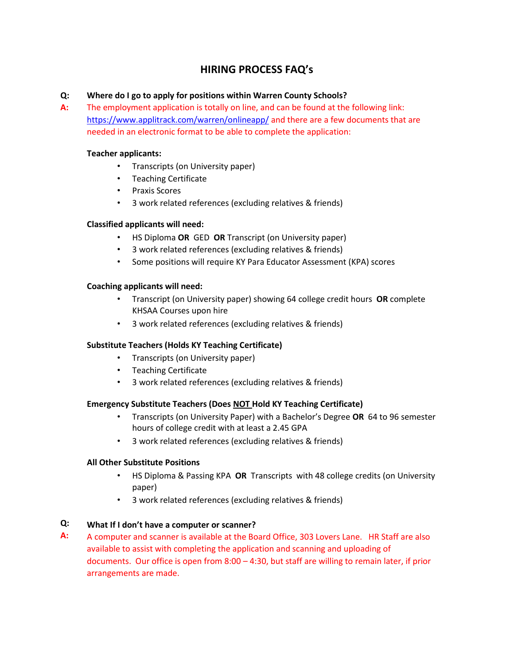# **HIRING PROCESS FAQ's**

# **Q: Where do I go to apply for positions within Warren County Schools?**

**A:** The employment application is totally on line, and can be found at the following link: <https://www.applitrack.com/warren/onlineapp/> and there are a few documents that are needed in an electronic format to be able to complete the application:

## **Teacher applicants:**

- Transcripts (on University paper)
- Teaching Certificate
- Praxis Scores
- 3 work related references (excluding relatives & friends)

# **Classified applicants will need:**

- HS Diploma **OR** GED **OR** Transcript (on University paper)
- 3 work related references (excluding relatives & friends)
- Some positions will require KY Para Educator Assessment (KPA) scores

# **Coaching applicants will need:**

- Transcript (on University paper) showing 64 college credit hours **OR** complete KHSAA Courses upon hire
- 3 work related references (excluding relatives & friends)

# **Substitute Teachers (Holds KY Teaching Certificate)**

- Transcripts (on University paper)
- Teaching Certificate
- 3 work related references (excluding relatives & friends)

### **Emergency Substitute Teachers (Does NOT Hold KY Teaching Certificate)**

- Transcripts (on University Paper) with a Bachelor's Degree **OR** 64 to 96 semester hours of college credit with at least a 2.45 GPA
- 3 work related references (excluding relatives & friends)

### **All Other Substitute Positions**

- HS Diploma & Passing KPA **OR** Transcripts with 48 college credits (on University paper)
- 3 work related references (excluding relatives & friends)

#### **Q: What If I don't have a computer or scanner?**

**A:** A computer and scanner is available at the Board Office, 303 Lovers Lane. HR Staff are also available to assist with completing the application and scanning and uploading of documents. Our office is open from 8:00 – 4:30, but staff are willing to remain later, if prior arrangements are made.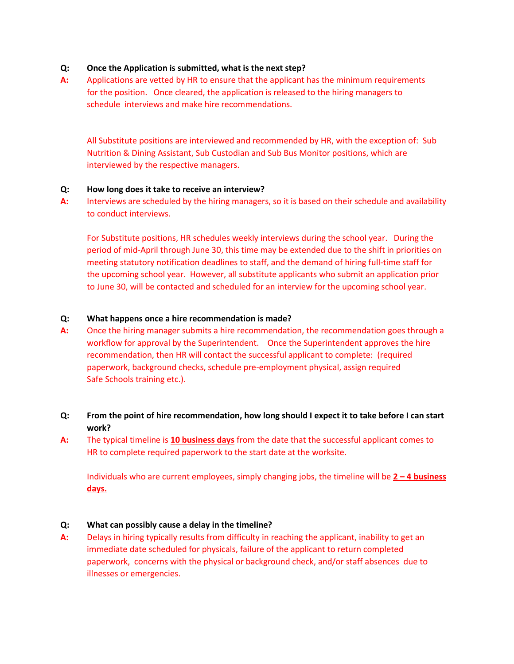#### **Q: Once the Application is submitted, what is the next step?**

**A:** Applications are vetted by HR to ensure that the applicant has the minimum requirements for the position. Once cleared, the application is released to the hiring managers to schedule interviews and make hire recommendations.

All Substitute positions are interviewed and recommended by HR, with the exception of: Sub Nutrition & Dining Assistant, Sub Custodian and Sub Bus Monitor positions, which are interviewed by the respective managers.

#### **Q: How long does it take to receive an interview?**

**A:** Interviews are scheduled by the hiring managers, so it is based on their schedule and availability to conduct interviews.

For Substitute positions, HR schedules weekly interviews during the school year. During the period of mid-April through June 30, this time may be extended due to the shift in priorities on meeting statutory notification deadlines to staff, and the demand of hiring full-time staff for the upcoming school year. However, all substitute applicants who submit an application prior to June 30, will be contacted and scheduled for an interview for the upcoming school year.

#### **Q: What happens once a hire recommendation is made?**

- **A:** Once the hiring manager submits a hire recommendation, the recommendation goes through a workflow for approval by the Superintendent. Once the Superintendent approves the hire recommendation, then HR will contact the successful applicant to complete: (required paperwork, background checks, schedule pre-employment physical, assign required Safe Schools training etc.).
- **Q: From the point of hire recommendation, how long should I expect it to take before I can start work?**
- **A:** The typical timeline is **10 business days** from the date that the successful applicant comes to HR to complete required paperwork to the start date at the worksite.

Individuals who are current employees, simply changing jobs, the timeline will be **2 – 4 business days.** 

#### **Q: What can possibly cause a delay in the timeline?**

**A:** Delays in hiring typically results from difficulty in reaching the applicant, inability to get an immediate date scheduled for physicals, failure of the applicant to return completed paperwork, concerns with the physical or background check, and/or staff absences due to illnesses or emergencies.